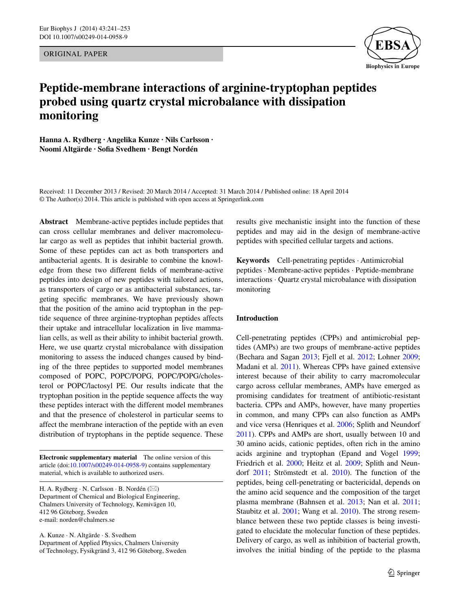Original Paper



# **Peptide‑membrane interactions of arginine‑tryptophan peptides probed using quartz crystal microbalance with dissipation monitoring**

**Hanna A. Rydberg · Angelika Kunze · Nils Carlsson · Noomi Altgärde · Sofia Svedhem · Bengt Nordén**

Received: 11 December 2013 / Revised: 20 March 2014 / Accepted: 31 March 2014 / Published online: 18 April 2014 © The Author(s) 2014. This article is published with open access at Springerlink.com

**Abstract** Membrane-active peptides include peptides that can cross cellular membranes and deliver macromolecular cargo as well as peptides that inhibit bacterial growth. Some of these peptides can act as both transporters and antibacterial agents. It is desirable to combine the knowledge from these two different fields of membrane-active peptides into design of new peptides with tailored actions, as transporters of cargo or as antibacterial substances, targeting specific membranes. We have previously shown that the position of the amino acid tryptophan in the peptide sequence of three arginine-tryptophan peptides affects their uptake and intracellular localization in live mammalian cells, as well as their ability to inhibit bacterial growth. Here, we use quartz crystal microbalance with dissipation monitoring to assess the induced changes caused by binding of the three peptides to supported model membranes composed of POPC, POPC/POPG, POPC/POPG/cholesterol or POPC/lactosyl PE. Our results indicate that the tryptophan position in the peptide sequence affects the way these peptides interact with the different model membranes and that the presence of cholesterol in particular seems to affect the membrane interaction of the peptide with an even distribution of tryptophans in the peptide sequence. These

**Electronic supplementary material** The online version of this article (doi[:10.1007/s00249-014-0958-9](http://dx.doi.org/10.1007/s00249-014-0958-9)) contains supplementary material, which is available to authorized users.

H. A. Rydberg · N. Carlsson · B. Nordén (⊠) Department of Chemical and Biological Engineering, Chalmers University of Technology, Kemivägen 10, 412 96 Göteborg, Sweden e-mail: norden@chalmers.se

A. Kunze · N. Altgärde · S. Svedhem Department of Applied Physics, Chalmers University of Technology, Fysikgränd 3, 412 96 Göteborg, Sweden results give mechanistic insight into the function of these peptides and may aid in the design of membrane-active peptides with specified cellular targets and actions.

**Keywords** Cell-penetrating peptides · Antimicrobial peptides · Membrane-active peptides · Peptide-membrane interactions · Quartz crystal microbalance with dissipation monitoring

## **Introduction**

Cell-penetrating peptides (CPPs) and antimicrobial peptides (AMPs) are two groups of membrane-active peptides (Bechara and Sagan [2013](#page-11-0); Fjell et al. [2012;](#page-11-1) Lohner [2009](#page-12-0); Madani et al. [2011](#page-12-1)). Whereas CPPs have gained extensive interest because of their ability to carry macromolecular cargo across cellular membranes, AMPs have emerged as promising candidates for treatment of antibiotic-resistant bacteria. CPPs and AMPs, however, have many properties in common, and many CPPs can also function as AMPs and vice versa (Henriques et al. [2006](#page-11-2); Splith and Neundorf [2011](#page-12-2)). CPPs and AMPs are short, usually between 10 and 30 amino acids, cationic peptides, often rich in the amino acids arginine and tryptophan (Epand and Vogel [1999](#page-11-3); Friedrich et al. [2000;](#page-11-4) Heitz et al. [2009](#page-11-5); Splith and Neundorf [2011;](#page-12-2) Strömstedt et al. [2010\)](#page-12-3). The function of the peptides, being cell-penetrating or bactericidal, depends on the amino acid sequence and the composition of the target plasma membrane (Bahnsen et al. [2013](#page-11-6); Nan et al. [2011](#page-12-4); Staubitz et al. [2001;](#page-12-5) Wang et al. [2010](#page-12-6)). The strong resemblance between these two peptide classes is being investigated to elucidate the molecular function of these peptides. Delivery of cargo, as well as inhibition of bacterial growth, involves the initial binding of the peptide to the plasma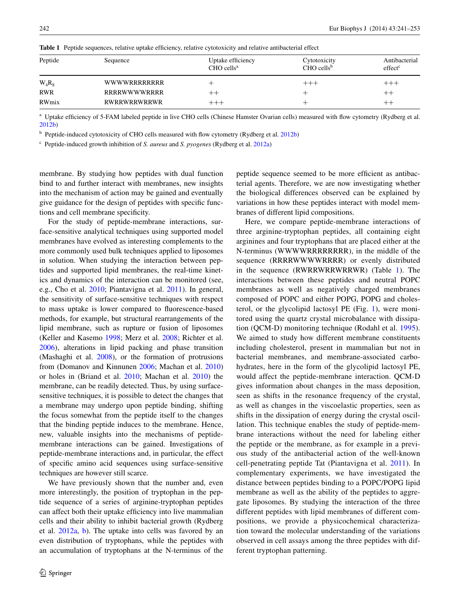| Peptide    | Sequence     | Uptake efficiency<br>$CHO$ cells <sup>a</sup> | Cytotoxicity<br>$CHO$ cells <sup>b</sup> | Antibacterial<br>effect <sup>c</sup> |
|------------|--------------|-----------------------------------------------|------------------------------------------|--------------------------------------|
| $W_4R_8$   | WWWWRRRRRRRR |                                               |                                          | $++++$                               |
| <b>RWR</b> | RRRRWWWWRRRR | $^{\rm ++}$                                   |                                          | $^{++}$                              |
| RWmix      | RWRRWRRWRRWR |                                               |                                          | $+ +$                                |

<span id="page-1-0"></span>Table 1 Peptide sequences, relative uptake efficiency, relative cytotoxicity and relative antibacterial effect

<sup>a</sup> Uptake efficiency of 5-FAM labeled peptide in live CHO cells (Chinese Hamster Ovarian cells) measured with flow cytometry (Rydberg et al. [2012b](#page-12-14))

<sup>b</sup> Peptide-induced cytotoxicity of CHO cells measured with flow cytometry (Rydberg et al. [2012b\)](#page-12-14)

<sup>c</sup> Peptide-induced growth inhibition of *S. aureus* and *S. pyogenes* (Rydberg et al. [2012a](#page-12-13))

membrane. By studying how peptides with dual function bind to and further interact with membranes, new insights into the mechanism of action may be gained and eventually give guidance for the design of peptides with specific functions and cell membrane specificity.

For the study of peptide-membrane interactions, surface-sensitive analytical techniques using supported model membranes have evolved as interesting complements to the more commonly used bulk techniques applied to liposomes in solution. When studying the interaction between peptides and supported lipid membranes, the real-time kinetics and dynamics of the interaction can be monitored (see, e.g., Cho et al. [2010](#page-11-7); Piantavigna et al. [2011](#page-12-7)). In general, the sensitivity of surface-sensitive techniques with respect to mass uptake is lower compared to fluorescence-based methods, for example, but structural rearrangements of the lipid membrane, such as rupture or fusion of liposomes (Keller and Kasemo [1998](#page-12-8); Merz et al. [2008](#page-12-9); Richter et al. [2006](#page-12-10)), alterations in lipid packing and phase transition (Mashaghi et al. [2008](#page-12-11)), or the formation of protrusions from (Domanov and Kinnunen [2006](#page-11-8); Machan et al. [2010\)](#page-12-12) or holes in (Briand et al. [2010;](#page-11-9) Machan et al. [2010](#page-12-12)) the membrane, can be readily detected. Thus, by using surfacesensitive techniques, it is possible to detect the changes that a membrane may undergo upon peptide binding, shifting the focus somewhat from the peptide itself to the changes that the binding peptide induces to the membrane. Hence, new, valuable insights into the mechanisms of peptidemembrane interactions can be gained. Investigations of peptide-membrane interactions and, in particular, the effect of specific amino acid sequences using surface-sensitive techniques are however still scarce.

We have previously shown that the number and, even more interestingly, the position of tryptophan in the peptide sequence of a series of arginine-tryptophan peptides can affect both their uptake efficiency into live mammalian cells and their ability to inhibit bacterial growth (Rydberg et al. [2012a](#page-12-13), [b\)](#page-12-14). The uptake into cells was favored by an even distribution of tryptophans, while the peptides with an accumulation of tryptophans at the N-terminus of the peptide sequence seemed to be more efficient as antibacterial agents. Therefore, we are now investigating whether the biological differences observed can be explained by variations in how these peptides interact with model membranes of different lipid compositions.

Here, we compare peptide-membrane interactions of three arginine-tryptophan peptides, all containing eight arginines and four tryptophans that are placed either at the N-terminus (WWWWRRRRRRRR), in the middle of the sequence (RRRRWWWWRRRR) or evenly distributed in the sequence (RWRRWRRWRRWR) (Table [1\)](#page-1-0). The interactions between these peptides and neutral POPC membranes as well as negatively charged membranes composed of POPC and either POPG, POPG and cholesterol, or the glycolipid lactosyl PE (Fig. [1](#page-2-0)), were monitored using the quartz crystal microbalance with dissipation (QCM-D) monitoring technique (Rodahl et al. [1995](#page-12-15)). We aimed to study how different membrane constituents including cholesterol, present in mammalian but not in bacterial membranes, and membrane-associated carbohydrates, here in the form of the glycolipid lactosyl PE, would affect the peptide-membrane interaction. QCM-D gives information about changes in the mass deposition, seen as shifts in the resonance frequency of the crystal, as well as changes in the viscoelastic properties, seen as shifts in the dissipation of energy during the crystal oscillation. This technique enables the study of peptide-membrane interactions without the need for labeling either the peptide or the membrane, as for example in a previous study of the antibacterial action of the well-known cell-penetrating peptide Tat (Piantavigna et al. [2011\)](#page-12-7). In complementary experiments, we have investigated the distance between peptides binding to a POPC/POPG lipid membrane as well as the ability of the peptides to aggregate liposomes. By studying the interaction of the three different peptides with lipid membranes of different compositions, we provide a physicochemical characterization toward the molecular understanding of the variations observed in cell assays among the three peptides with different tryptophan patterning.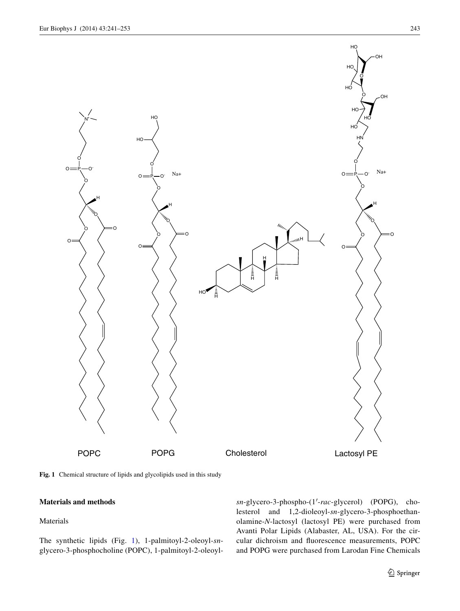

<span id="page-2-0"></span>**Fig. 1** Chemical structure of lipids and glycolipids used in this study

# **Materials and methods**

## Materials

The synthetic lipids (Fig. [1](#page-2-0)), 1-palmitoyl-2-oleoyl-*sn*glycero-3-phosphocholine (POPC), 1-palmitoyl-2-oleoyl*sn*-glycero-3-phospho-(1′-*rac*-glycerol) (POPG), cholesterol and 1,2-dioleoyl-*sn*-glycero-3-phosphoethanolamine-*N*-lactosyl (lactosyl PE) were purchased from Avanti Polar Lipids (Alabaster, AL, USA). For the circular dichroism and fluorescence measurements, POPC and POPG were purchased from Larodan Fine Chemicals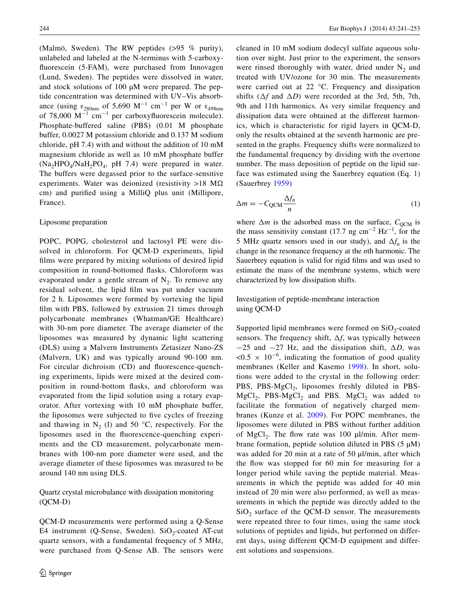(Malmö, Sweden). The RW peptides (>95 % purity), unlabeled and labeled at the N-terminus with 5-carboxyfluorescein (5-FAM), were purchased from Innovagen (Lund, Sweden). The peptides were dissolved in water, and stock solutions of 100 µM were prepared. The peptide concentration was determined with UV–Vis absorbance (using  $\varepsilon_{280nm}$  of 5,690 M<sup>-1</sup> cm<sup>-1</sup> per W or  $\varepsilon_{498nm}$ of 78,000  $M^{-1}$  cm<sup>-1</sup> per carboxyfluorescein molecule). Phosphate-buffered saline (PBS) (0.01 M phosphate buffer, 0.0027 M potassium chloride and 0.137 M sodium chloride, pH 7.4) with and without the addition of 10 mM magnesium chloride as well as 10 mM phosphate buffer  $(Na_2HPO_4/NaH_2PO_4$ , pH 7.4) were prepared in water. The buffers were degassed prior to the surface-sensitive experiments. Water was deionized (resistivity >18 M $\Omega$ ) cm) and purified using a MilliQ plus unit (Millipore, France).

## Liposome preparation

POPC, POPG, cholesterol and lactosyl PE were dissolved in chloroform. For QCM-D experiments, lipid films were prepared by mixing solutions of desired lipid composition in round-bottomed flasks. Chloroform was evaporated under a gentle stream of  $N_2$ . To remove any residual solvent, the lipid film was put under vacuum for 2 h. Liposomes were formed by vortexing the lipid film with PBS, followed by extrusion 21 times through polycarbonate membranes (Whatman/GE Healthcare) with 30-nm pore diameter. The average diameter of the liposomes was measured by dynamic light scattering (DLS) using a Malvern Instruments Zetasizer Nano-ZS (Malvern, UK) and was typically around 90-100 nm. For circular dichroism (CD) and fluorescence-quenching experiments, lipids were mixed at the desired composition in round-bottom flasks, and chloroform was evaporated from the lipid solution using a rotary evaporator. After vortexing with 10 mM phosphate buffer, the liposomes were subjected to five cycles of freezing and thawing in  $N_2$  (1) and 50 °C, respectively. For the liposomes used in the fluorescence-quenching experiments and the CD measurement, polycarbonate membranes with 100-nm pore diameter were used, and the average diameter of these liposomes was measured to be around 140 nm using DLS.

# Quartz crystal microbalance with dissipation monitoring (QCM-D)

QCM-D measurements were performed using a Q-Sense E4 instrument (Q-Sense, Sweden).  $SiO<sub>2</sub>$ -coated AT-cut quartz sensors, with a fundamental frequency of 5 MHz, were purchased from Q-Sense AB. The sensors were cleaned in 10 mM sodium dodecyl sulfate aqueous solution over night. Just prior to the experiment, the sensors were rinsed thoroughly with water, dried under  $N_2$  and treated with UV/ozone for 30 min. The measurements were carried out at 22 °C. Frequency and dissipation shifts  $(\Delta f$  and  $\Delta D)$  were recorded at the 3rd, 5th, 7th, 9th and 11th harmonics. As very similar frequency and dissipation data were obtained at the different harmonics, which is characteristic for rigid layers in QCM-D, only the results obtained at the seventh harmonic are presented in the graphs. Frequency shifts were normalized to the fundamental frequency by dividing with the overtone number. The mass deposition of peptide on the lipid surface was estimated using the Sauerbrey equation (Eq. [1\)](#page-3-0) (Sauerbrey [1959\)](#page-12-16)

<span id="page-3-0"></span>
$$
\Delta m = -C_{\text{QCM}} \frac{\Delta f_n}{n} \tag{1}
$$

where  $\Delta m$  is the adsorbed mass on the surface,  $C_{\text{OCM}}$  is the mass sensitivity constant (17.7 ng cm<sup>-2</sup> Hz<sup>-1</sup>, for the 5 MHz quartz sensors used in our study), and  $\Delta f_n$  is the change in the resonance frequency at the *n*th harmonic. The Sauerbrey equation is valid for rigid films and was used to estimate the mass of the membrane systems, which were characterized by low dissipation shifts.

# Investigation of peptide-membrane interaction using QCM-D

Supported lipid membranes were formed on  $SiO<sub>2</sub>$ -coated sensors. The frequency shift, Δ*f*, was typically between −25 and −27 Hz, and the dissipation shift, Δ*D*, was  $< 0.5 \times 10^{-6}$ , indicating the formation of good quality membranes (Keller and Kasemo [1998](#page-12-8)). In short, solutions were added to the crystal in the following order: PBS, PBS- $MgCl<sub>2</sub>$ , liposomes freshly diluted in PBS- $MgCl<sub>2</sub>$ , PBS- $MgCl<sub>2</sub>$  and PBS.  $MgCl<sub>2</sub>$  was added to facilitate the formation of negatively charged membranes (Kunze et al. [2009\)](#page-12-17). For POPC membranes, the liposomes were diluted in PBS without further addition of MgCl<sub>2</sub>. The flow rate was 100  $\mu$ l/min. After membrane formation, peptide solution diluted in PBS  $(5 \mu M)$ was added for 20 min at a rate of 50 µl/min, after which the flow was stopped for 60 min for measuring for a longer period while saving the peptide material. Measurements in which the peptide was added for 40 min instead of 20 min were also performed, as well as measurements in which the peptide was directly added to the  $SiO<sub>2</sub>$  surface of the QCM-D sensor. The measurements were repeated three to four times, using the same stock solutions of peptides and lipids, but performed on different days, using different QCM-D equipment and different solutions and suspensions.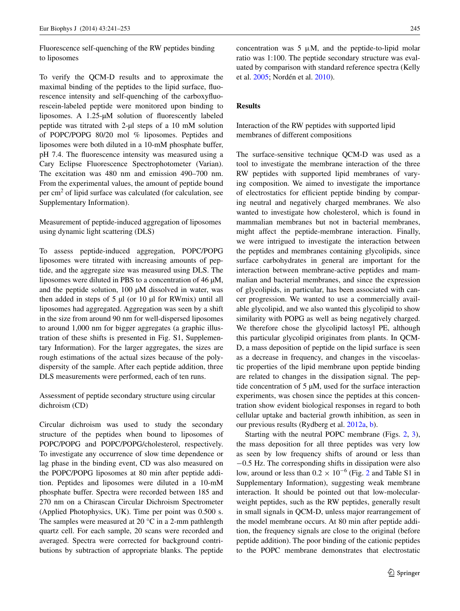Fluorescence self-quenching of the RW peptides binding to liposomes

To verify the QCM-D results and to approximate the maximal binding of the peptides to the lipid surface, fluorescence intensity and self-quenching of the carboxyfluorescein-labeled peptide were monitored upon binding to liposomes. A 1.25-µM solution of fluorescently labeled peptide was titrated with 2-µl steps of a 10 mM solution of POPC/POPG 80/20 mol % liposomes. Peptides and liposomes were both diluted in a 10-mM phosphate buffer, pH 7.4. The fluorescence intensity was measured using a Cary Eclipse Fluorescence Spectrophotometer (Varian). The excitation was 480 nm and emission 490–700 nm. From the experimental values, the amount of peptide bound per  $\text{cm}^2$  of lipid surface was calculated (for calculation, see Supplementary Information).

Measurement of peptide-induced aggregation of liposomes using dynamic light scattering (DLS)

To assess peptide-induced aggregation, POPC/POPG liposomes were titrated with increasing amounts of peptide, and the aggregate size was measured using DLS. The liposomes were diluted in PBS to a concentration of 46 µM, and the peptide solution, 100 µM dissolved in water, was then added in steps of  $5 \mu$ l (or 10  $\mu$ l for RWmix) until all liposomes had aggregated. Aggregation was seen by a shift in the size from around 90 nm for well-dispersed liposomes to around 1,000 nm for bigger aggregates (a graphic illustration of these shifts is presented in Fig. S1, Supplementary Information). For the larger aggregates, the sizes are rough estimations of the actual sizes because of the polydispersity of the sample. After each peptide addition, three DLS measurements were performed, each of ten runs.

Assessment of peptide secondary structure using circular dichroism (CD)

Circular dichroism was used to study the secondary structure of the peptides when bound to liposomes of POPC/POPG and POPC/POPG/cholesterol, respectively. To investigate any occurrence of slow time dependence or lag phase in the binding event, CD was also measured on the POPC/POPG liposomes at 80 min after peptide addition. Peptides and liposomes were diluted in a 10-mM phosphate buffer. Spectra were recorded between 185 and 270 nm on a Chirascan Circular Dichroism Spectrometer (Applied Photophysics, UK). Time per point was 0.500 s. The samples were measured at 20 °C in a 2-mm pathlength quartz cell. For each sample, 20 scans were recorded and averaged. Spectra were corrected for background contributions by subtraction of appropriate blanks. The peptide concentration was  $5 \mu M$ , and the peptide-to-lipid molar ratio was 1:100. The peptide secondary structure was evaluated by comparison with standard reference spectra (Kelly et al. [2005](#page-12-18); Nordén et al. [2010\)](#page-12-19).

# **Results**

Interaction of the RW peptides with supported lipid membranes of different compositions

The surface-sensitive technique QCM-D was used as a tool to investigate the membrane interaction of the three RW peptides with supported lipid membranes of varying composition. We aimed to investigate the importance of electrostatics for efficient peptide binding by comparing neutral and negatively charged membranes. We also wanted to investigate how cholesterol, which is found in mammalian membranes but not in bacterial membranes, might affect the peptide-membrane interaction. Finally, we were intrigued to investigate the interaction between the peptides and membranes containing glycolipids, since surface carbohydrates in general are important for the interaction between membrane-active peptides and mammalian and bacterial membranes, and since the expression of glycolipids, in particular, has been associated with cancer progression. We wanted to use a commercially available glycolipid, and we also wanted this glycolipid to show similarity with POPG as well as being negatively charged. We therefore chose the glycolipid lactosyl PE, although this particular glycolipid originates from plants. In QCM-D, a mass deposition of peptide on the lipid surface is seen as a decrease in frequency, and changes in the viscoelastic properties of the lipid membrane upon peptide binding are related to changes in the dissipation signal. The peptide concentration of 5 µM, used for the surface interaction experiments, was chosen since the peptides at this concentration show evident biological responses in regard to both cellular uptake and bacterial growth inhibition, as seen in our previous results (Rydberg et al. [2012a,](#page-12-13) [b\)](#page-12-14).

Starting with the neutral POPC membrane (Figs. [2](#page-5-0), [3](#page-6-0)), the mass deposition for all three peptides was very low as seen by low frequency shifts of around or less than −0.5 Hz. The corresponding shifts in dissipation were also low, around or less than  $0.2 \times 10^{-6}$  $0.2 \times 10^{-6}$  $0.2 \times 10^{-6}$  (Fig. 2 and Table S1 in Supplementary Information), suggesting weak membrane interaction. It should be pointed out that low-molecularweight peptides, such as the RW peptides, generally result in small signals in QCM-D, unless major rearrangement of the model membrane occurs. At 80 min after peptide addition, the frequency signals are close to the original (before peptide addition). The poor binding of the cationic peptides to the POPC membrane demonstrates that electrostatic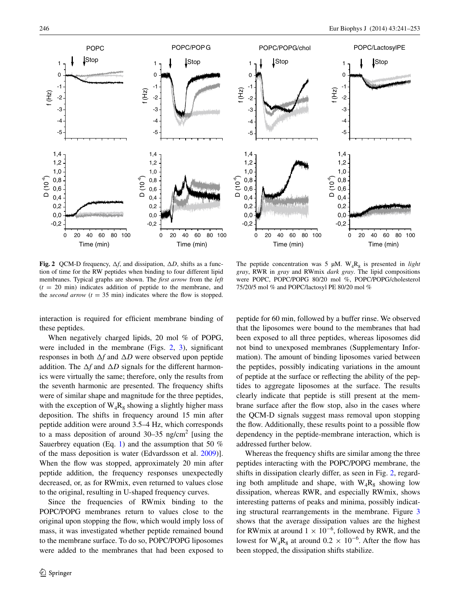

<span id="page-5-0"></span>**Fig. 2** QCM-D frequency,  $\Delta f$ , and dissipation,  $\Delta D$ , shifts as a function of time for the RW peptides when binding to four different lipid membranes. Typical graphs are shown. The *first arrow* from the *left*  $(t = 20 \text{ min})$  indicates addition of peptide to the membrane, and the *second arrow*  $(t = 35 \text{ min})$  indicates where the flow is stopped.

interaction is required for efficient membrane binding of these peptides.

When negatively charged lipids, 20 mol % of POPG, were included in the membrane (Figs. [2](#page-5-0), [3\)](#page-6-0), significant responses in both Δ*f* and Δ*D* were observed upon peptide addition. The Δ*f* and Δ*D* signals for the different harmonics were virtually the same; therefore, only the results from the seventh harmonic are presented. The frequency shifts were of similar shape and magnitude for the three peptides, with the exception of  $W_4R_8$  showing a slightly higher mass deposition. The shifts in frequency around 15 min after peptide addition were around 3.5–4 Hz, which corresponds to a mass deposition of around  $30-35$  ng/cm<sup>2</sup> [using the Sauerbrey equation (Eq. [1\)](#page-3-0) and the assumption that 50  $%$ of the mass deposition is water (Edvardsson et al. [2009\)](#page-11-10)]. When the flow was stopped, approximately 20 min after peptide addition, the frequency responses unexpectedly decreased, or, as for RWmix, even returned to values close to the original, resulting in U-shaped frequency curves.

Since the frequencies of RWmix binding to the POPC/POPG membranes return to values close to the original upon stopping the flow, which would imply loss of mass, it was investigated whether peptide remained bound to the membrane surface. To do so, POPC/POPG liposomes were added to the membranes that had been exposed to

The peptide concentration was 5  $\mu$ M. W<sub>4</sub>R<sub>8</sub> is presented in *light gray*, RWR in *gray* and RWmix *dark gray*. The lipid compositions were POPC, POPC/POPG 80/20 mol %, POPC/POPG/cholesterol 75/20/5 mol % and POPC/lactosyl PE 80/20 mol %

peptide for 60 min, followed by a buffer rinse. We observed that the liposomes were bound to the membranes that had been exposed to all three peptides, whereas liposomes did not bind to unexposed membranes (Supplementary Information). The amount of binding liposomes varied between the peptides, possibly indicating variations in the amount of peptide at the surface or reflecting the ability of the peptides to aggregate liposomes at the surface. The results clearly indicate that peptide is still present at the membrane surface after the flow stop, also in the cases where the QCM-D signals suggest mass removal upon stopping the flow. Additionally, these results point to a possible flow dependency in the peptide-membrane interaction, which is addressed further below.

Whereas the frequency shifts are similar among the three peptides interacting with the POPC/POPG membrane, the shifts in dissipation clearly differ, as seen in Fig. [2](#page-5-0), regarding both amplitude and shape, with  $W_4R_8$  showing low dissipation, whereas RWR, and especially RWmix, shows interesting patterns of peaks and minima, possibly indicating structural rearrangements in the membrane. Figure [3](#page-6-0) shows that the average dissipation values are the highest for RWmix at around  $1 \times 10^{-6}$ , followed by RWR, and the lowest for  $W_4R_8$  at around  $0.2 \times 10^{-6}$ . After the flow has been stopped, the dissipation shifts stabilize.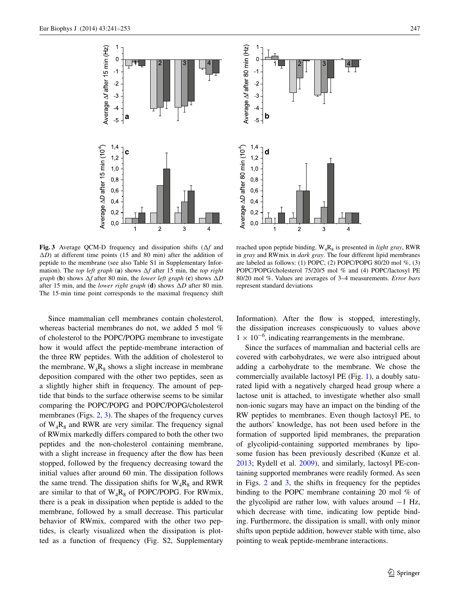

<span id="page-6-0"></span>**Fig. 3** Average QCM-D frequency and dissipation shifts (Δ*f* and Δ*D*) at different time points (15 and 80 min) after the addition of peptide to the membrane (see also Table S1 in Supplementary Information). The *top left graph* (**a**) shows Δ*f* after 15 min, the *top right graph* (**b**) shows Δ*f* after 80 min, the *lower left graph* (**c**) shows Δ*D* after 15 min, and the *lower right graph* (**d**) shows Δ*D* after 80 min. The 15-min time point corresponds to the maximal frequency shift



reached upon peptide binding.  $W_4R_8$  is presented in *light gray*, RWR in *gray* and RWmix in *dark gray*. The four different lipid membranes are labeled as follows: (1) POPC, (2) POPC/POPG 80/20 mol  $\%$ , (3) POPC/POPG/cholesterol 75/20/5 mol % and (4) POPC/lactosyl PE 80/20 mol %. Values are averages of 3–4 measurements. *Error bars* represent standard deviations

Since mammalian cell membranes contain cholesterol, whereas bacterial membranes do not, we added 5 mol % of cholesterol to the POPC/POPG membrane to investigate how it would affect the peptide-membrane interaction of the three RW peptides. With the addition of cholesterol to the membrane,  $W_4R_8$  shows a slight increase in membrane deposition compared with the other two peptides, seen as a slightly higher shift in frequency. The amount of peptide that binds to the surface otherwise seems to be similar comparing the POPC/POPG and POPC/POPG/cholesterol membranes (Figs. [2](#page-5-0), [3](#page-6-0)). The shapes of the frequency curves of  $W_4R_8$  and RWR are very similar. The frequency signal of RWmix markedly differs compared to both the other two peptides and the non-cholesterol containing membrane, with a slight increase in frequency after the flow has been stopped, followed by the frequency decreasing toward the initial values after around 60 min. The dissipation follows the same trend. The dissipation shifts for  $W_4R_8$  and RWR are similar to that of  $W_4R_8$  of POPC/POPG. For RWmix, there is a peak in dissipation when peptide is added to the membrane, followed by a small decrease. This particular behavior of RWmix, compared with the other two peptides, is clearly visualized when the dissipation is plotted as a function of frequency (Fig. S2, Supplementary Information). After the flow is stopped, interestingly, the dissipation increases conspicuously to values above  $1 \times 10^{-6}$ , indicating rearrangements in the membrane.

Since the surfaces of mammalian and bacterial cells are covered with carbohydrates, we were also intrigued about adding a carbohydrate to the membrane. We chose the commercially available lactosyl PE (Fig. [1](#page-2-0)), a doubly saturated lipid with a negatively charged head group where a lactose unit is attached, to investigate whether also small non-ionic sugars may have an impact on the binding of the RW peptides to membranes. Even though lactosyl PE, to the authors' knowledge, has not been used before in the formation of supported lipid membranes, the preparation of glycolipid-containing supported membranes by liposome fusion has been previously described (Kunze et al. [2013](#page-12-20); Rydell et al. [2009\)](#page-12-21), and similarly, lactosyl PE-containing supported membranes were readily formed. As seen in Figs. [2](#page-5-0) and [3](#page-6-0), the shifts in frequency for the peptides binding to the POPC membrane containing 20 mol % of the glycolipid are rather low, with values around −1 Hz, which decrease with time, indicating low peptide binding. Furthermore, the dissipation is small, with only minor shifts upon peptide addition, however stable with time, also pointing to weak peptide-membrane interactions.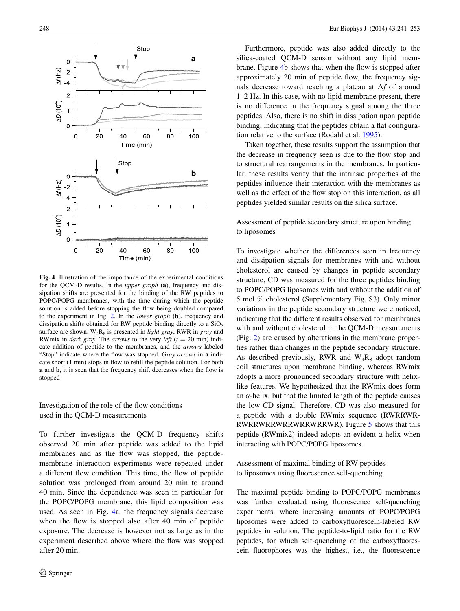

<span id="page-7-0"></span>**Fig. 4** Illustration of the importance of the experimental conditions for the QCM-D results. In the *upper graph* (**a**), frequency and dissipation shifts are presented for the binding of the RW peptides to POPC/POPG membranes, with the time during which the peptide solution is added before stopping the flow being doubled compared to the experiment in Fig. [2.](#page-5-0) In the *lower graph* (**b**), frequency and dissipation shifts obtained for RW peptide binding directly to a  $SiO<sub>2</sub>$ surface are shown.  $W_4R_8$  is presented in *light gray*, RWR in *gray* and RWmix in *dark gray*. The *arrows* to the very *left*  $(t = 20 \text{ min})$  indicate addition of peptide to the membranes, and the *arrows* labeled "Stop" indicate where the flow was stopped. *Gray arrows* in **a** indicate short (1 min) stops in flow to refill the peptide solution. For both **a** and **b**, it is seen that the frequency shift decreases when the flow is stopped

# Investigation of the role of the flow conditions used in the QCM-D measurements

To further investigate the QCM-D frequency shifts observed 20 min after peptide was added to the lipid membranes and as the flow was stopped, the peptidemembrane interaction experiments were repeated under a different flow condition. This time, the flow of peptide solution was prolonged from around 20 min to around 40 min. Since the dependence was seen in particular for the POPC/POPG membrane, this lipid composition was used. As seen in Fig. [4a](#page-7-0), the frequency signals decrease when the flow is stopped also after 40 min of peptide exposure. The decrease is however not as large as in the experiment described above where the flow was stopped after 20 min.

Furthermore, peptide was also added directly to the silica-coated QCM-D sensor without any lipid membrane. Figure [4b](#page-7-0) shows that when the flow is stopped after approximately 20 min of peptide flow, the frequency signals decrease toward reaching a plateau at Δ*f* of around 1–2 Hz. In this case, with no lipid membrane present, there is no difference in the frequency signal among the three peptides. Also, there is no shift in dissipation upon peptide binding, indicating that the peptides obtain a flat configuration relative to the surface (Rodahl et al. [1995](#page-12-15)).

Taken together, these results support the assumption that the decrease in frequency seen is due to the flow stop and to structural rearrangements in the membranes. In particular, these results verify that the intrinsic properties of the peptides influence their interaction with the membranes as well as the effect of the flow stop on this interaction, as all peptides yielded similar results on the silica surface.

Assessment of peptide secondary structure upon binding to liposomes

To investigate whether the differences seen in frequency and dissipation signals for membranes with and without cholesterol are caused by changes in peptide secondary structure, CD was measured for the three peptides binding to POPC/POPG liposomes with and without the addition of 5 mol % cholesterol (Supplementary Fig. S3). Only minor variations in the peptide secondary structure were noticed, indicating that the different results observed for membranes with and without cholesterol in the QCM-D measurements (Fig. [2](#page-5-0)) are caused by alterations in the membrane properties rather than changes in the peptide secondary structure. As described previously, RWR and  $W_4R_8$  adopt random coil structures upon membrane binding, whereas RWmix adopts a more pronounced secondary structure with helixlike features. We hypothesized that the RWmix does form an  $\alpha$ -helix, but that the limited length of the peptide causes the low CD signal. Therefore, CD was also measured for a peptide with a double RWmix sequence (RWRRWR-RWRRWRRWRRWRRWRRWR). Figure [5](#page-8-0) shows that this peptide (RWmix2) indeed adopts an evident α-helix when interacting with POPC/POPG liposomes.

Assessment of maximal binding of RW peptides to liposomes using fluorescence self-quenching

The maximal peptide binding to POPC/POPG membranes was further evaluated using fluorescence self-quenching experiments, where increasing amounts of POPC/POPG liposomes were added to carboxyfluorescein-labeled RW peptides in solution. The peptide-to-lipid ratio for the RW peptides, for which self-quenching of the carboxyfluorescein fluorophores was the highest, i.e., the fluorescence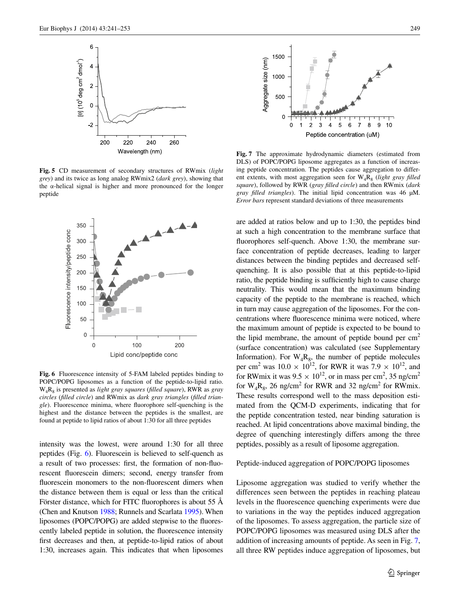

<span id="page-8-0"></span>**Fig. 5** CD measurement of secondary structures of RWmix (*light grey*) and its twice as long analog RWmix2 (*dark grey*), showing that the α-helical signal is higher and more pronounced for the longer peptide



<span id="page-8-1"></span>**Fig. 6** Fluorescence intensity of 5-FAM labeled peptides binding to POPC/POPG liposomes as a function of the peptide-to-lipid ratio. W4R8 is presented as *light gray squares* (*filled square*), RWR as *gray circles* (*filled circle*) and RWmix as *dark gray triangles* (*filled triangle*). Fluorescence minima, where fluorophore self-quenching is the highest and the distance between the peptides is the smallest, are found at peptide to lipid ratios of about 1:30 for all three peptides

intensity was the lowest, were around 1:30 for all three peptides (Fig. [6\)](#page-8-1). Fluorescein is believed to self-quench as a result of two processes: first, the formation of non-fluorescent fluorescein dimers; second, energy transfer from fluorescein monomers to the non-fluorescent dimers when the distance between them is equal or less than the critical Förster distance, which for FITC fluorophores is about 55 Å (Chen and Knutson [1988;](#page-11-11) Runnels and Scarlata [1995\)](#page-12-22). When liposomes (POPC/POPG) are added stepwise to the fluorescently labeled peptide in solution, the fluorescence intensity first decreases and then, at peptide-to-lipid ratios of about 1:30, increases again. This indicates that when liposomes



<span id="page-8-2"></span>**Fig. 7** The approximate hydrodynamic diameters (estimated from DLS) of POPC/POPG liposome aggregates as a function of increasing peptide concentration. The peptides cause aggregation to different extents, with most aggregation seen for  $W_4R_8$  (*light gray filled square*), followed by RWR (*gray filled circle*) and then RWmix (*dark gray filled triangles*). The initial lipid concentration was 46 µM. *Error bars* represent standard deviations of three measurements

are added at ratios below and up to 1:30, the peptides bind at such a high concentration to the membrane surface that fluorophores self-quench. Above 1:30, the membrane surface concentration of peptide decreases, leading to larger distances between the binding peptides and decreased selfquenching. It is also possible that at this peptide-to-lipid ratio, the peptide binding is sufficiently high to cause charge neutrality. This would mean that the maximum binding capacity of the peptide to the membrane is reached, which in turn may cause aggregation of the liposomes. For the concentrations where fluorescence minima were noticed, where the maximum amount of peptide is expected to be bound to the lipid membrane, the amount of peptide bound per  $cm<sup>2</sup>$ (surface concentration) was calculated (see Supplementary Information). For  $W_4R_8$ , the number of peptide molecules per cm<sup>2</sup> was  $10.0 \times 10^{12}$ , for RWR it was  $7.9 \times 10^{12}$ , and for RWmix it was  $9.5 \times 10^{12}$ , or in mass per cm<sup>2</sup>, 35 ng/cm<sup>2</sup> for  $W_4R_8$ , 26 ng/cm<sup>2</sup> for RWR and 32 ng/cm<sup>2</sup> for RWmix. These results correspond well to the mass deposition estimated from the QCM-D experiments, indicating that for the peptide concentration tested, near binding saturation is reached. At lipid concentrations above maximal binding, the degree of quenching interestingly differs among the three peptides, possibly as a result of liposome aggregation.

## Peptide-induced aggregation of POPC/POPG liposomes

Liposome aggregation was studied to verify whether the differences seen between the peptides in reaching plateau levels in the fluorescence quenching experiments were due to variations in the way the peptides induced aggregation of the liposomes. To assess aggregation, the particle size of POPC/POPG liposomes was measured using DLS after the addition of increasing amounts of peptide. As seen in Fig. [7,](#page-8-2) all three RW peptides induce aggregation of liposomes, but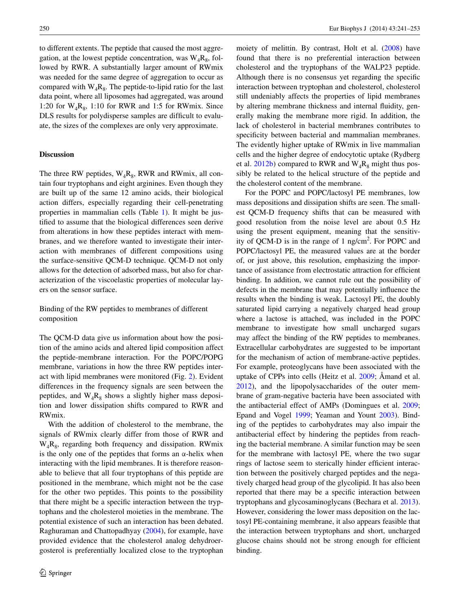to different extents. The peptide that caused the most aggregation, at the lowest peptide concentration, was  $W_A R_g$ , followed by RWR. A substantially larger amount of RWmix was needed for the same degree of aggregation to occur as compared with  $W_4R_8$ . The peptide-to-lipid ratio for the last data point, where all liposomes had aggregated, was around 1:20 for  $W_A R_g$ , 1:10 for RWR and 1:5 for RWmix. Since DLS results for polydisperse samples are difficult to evaluate, the sizes of the complexes are only very approximate.

#### **Discussion**

The three RW peptides,  $W_4R_8$ , RWR and RWmix, all contain four tryptophans and eight arginines. Even though they are built up of the same 12 amino acids, their biological action differs, especially regarding their cell-penetrating properties in mammalian cells (Table [1\)](#page-1-0). It might be justified to assume that the biological differences seen derive from alterations in how these peptides interact with membranes, and we therefore wanted to investigate their interaction with membranes of different compositions using the surface-sensitive QCM-D technique. QCM-D not only allows for the detection of adsorbed mass, but also for characterization of the viscoelastic properties of molecular layers on the sensor surface.

Binding of the RW peptides to membranes of different composition

The QCM-D data give us information about how the position of the amino acids and altered lipid composition affect the peptide-membrane interaction. For the POPC/POPG membrane, variations in how the three RW peptides interact with lipid membranes were monitored (Fig. [2](#page-5-0)). Evident differences in the frequency signals are seen between the peptides, and  $W_4R_8$  shows a slightly higher mass deposition and lower dissipation shifts compared to RWR and RWmix.

With the addition of cholesterol to the membrane, the signals of RWmix clearly differ from those of RWR and  $W_4R_8$ , regarding both frequency and dissipation. RWmix is the only one of the peptides that forms an  $\alpha$ -helix when interacting with the lipid membranes. It is therefore reasonable to believe that all four tryptophans of this peptide are positioned in the membrane, which might not be the case for the other two peptides. This points to the possibility that there might be a specific interaction between the tryptophans and the cholesterol moieties in the membrane. The potential existence of such an interaction has been debated. Raghuraman and Chattopadhyay ([2004\)](#page-12-23), for example, have provided evidence that the cholesterol analog dehydroergosterol is preferentially localized close to the tryptophan moiety of melittin. By contrast, Holt et al. ([2008\)](#page-12-24) have found that there is no preferential interaction between cholesterol and the tryptophans of the WALP23 peptide. Although there is no consensus yet regarding the specific interaction between tryptophan and cholesterol, cholesterol still undeniably affects the properties of lipid membranes by altering membrane thickness and internal fluidity, generally making the membrane more rigid. In addition, the lack of cholesterol in bacterial membranes contributes to specificity between bacterial and mammalian membranes. The evidently higher uptake of RWmix in live mammalian cells and the higher degree of endocytotic uptake (Rydberg et al. [2012b\)](#page-12-14) compared to RWR and  $W_4R_8$  might thus possibly be related to the helical structure of the peptide and the cholesterol content of the membrane.

For the POPC and POPC/lactosyl PE membranes, low mass depositions and dissipation shifts are seen. The smallest QCM-D frequency shifts that can be measured with good resolution from the noise level are about 0.5 Hz using the present equipment, meaning that the sensitivity of QCM-D is in the range of  $1$  ng/cm<sup>2</sup>. For POPC and POPC/lactosyl PE, the measured values are at the border of, or just above, this resolution, emphasizing the importance of assistance from electrostatic attraction for efficient binding. In addition, we cannot rule out the possibility of defects in the membrane that may potentially influence the results when the binding is weak. Lactosyl PE, the doubly saturated lipid carrying a negatively charged head group where a lactose is attached, was included in the POPC membrane to investigate how small uncharged sugars may affect the binding of the RW peptides to membranes. Extracellular carbohydrates are suggested to be important for the mechanism of action of membrane-active peptides. For example, proteoglycans have been associated with the uptake of CPPs into cells (Heitz et al. [2009](#page-11-5); Åmand et al. [2012](#page-11-12)), and the lipopolysaccharides of the outer membrane of gram-negative bacteria have been associated with the antibacterial effect of AMPs (Domingues et al. [2009](#page-11-13); Epand and Vogel [1999;](#page-11-3) Yeaman and Yount [2003](#page-12-25)). Binding of the peptides to carbohydrates may also impair the antibacterial effect by hindering the peptides from reaching the bacterial membrane. A similar function may be seen for the membrane with lactosyl PE, where the two sugar rings of lactose seem to sterically hinder efficient interaction between the positively charged peptides and the negatively charged head group of the glycolipid. It has also been reported that there may be a specific interaction between tryptophans and glycosaminoglycans (Bechara et al. [2013](#page-11-14)). However, considering the lower mass deposition on the lactosyl PE-containing membrane, it also appears feasible that the interaction between tryptophans and short, uncharged glucose chains should not be strong enough for efficient binding.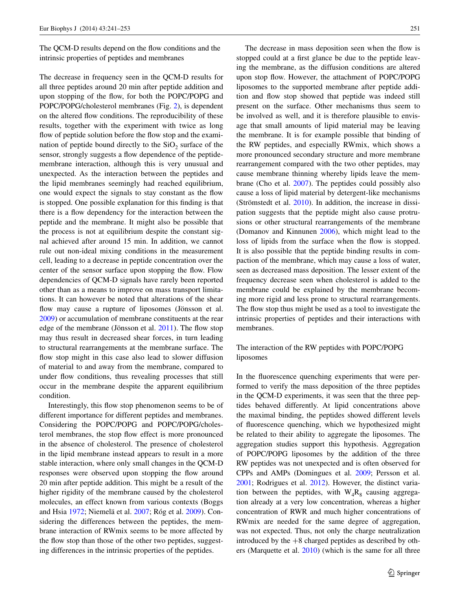The OCM-D results depend on the flow conditions and the intrinsic properties of peptides and membranes

The decrease in frequency seen in the QCM-D results for all three peptides around 20 min after peptide addition and upon stopping of the flow, for both the POPC/POPG and POPC/POPG/cholesterol membranes (Fig. [2\)](#page-5-0), is dependent on the altered flow conditions. The reproducibility of these results, together with the experiment with twice as long flow of peptide solution before the flow stop and the examination of peptide bound directly to the  $SiO<sub>2</sub>$  surface of the sensor, strongly suggests a flow dependence of the peptidemembrane interaction, although this is very unusual and unexpected. As the interaction between the peptides and the lipid membranes seemingly had reached equilibrium, one would expect the signals to stay constant as the flow is stopped. One possible explanation for this finding is that there is a flow dependency for the interaction between the peptide and the membrane. It might also be possible that the process is not at equilibrium despite the constant signal achieved after around 15 min. In addition, we cannot rule out non-ideal mixing conditions in the measurement cell, leading to a decrease in peptide concentration over the center of the sensor surface upon stopping the flow. Flow dependencies of QCM-D signals have rarely been reported other than as a means to improve on mass transport limitations. It can however be noted that alterations of the shear flow may cause a rupture of liposomes (Jönsson et al. [2009](#page-12-26)) or accumulation of membrane constituents at the rear edge of the membrane (Jönsson et al. [2011\)](#page-12-27). The flow stop may thus result in decreased shear forces, in turn leading to structural rearrangements at the membrane surface. The flow stop might in this case also lead to slower diffusion of material to and away from the membrane, compared to under flow conditions, thus revealing processes that still occur in the membrane despite the apparent equilibrium condition.

Interestingly, this flow stop phenomenon seems to be of different importance for different peptides and membranes. Considering the POPC/POPG and POPC/POPG/cholesterol membranes, the stop flow effect is more pronounced in the absence of cholesterol. The presence of cholesterol in the lipid membrane instead appears to result in a more stable interaction, where only small changes in the QCM-D responses were observed upon stopping the flow around 20 min after peptide addition. This might be a result of the higher rigidity of the membrane caused by the cholesterol molecules, an effect known from various contexts (Boggs and Hsia [1972](#page-11-15); Niemelä et al. [2007](#page-12-28); Róg et al. [2009\)](#page-12-29). Considering the differences between the peptides, the membrane interaction of RWmix seems to be more affected by the flow stop than those of the other two peptides, suggesting differences in the intrinsic properties of the peptides.

The decrease in mass deposition seen when the flow is stopped could at a first glance be due to the peptide leaving the membrane, as the diffusion conditions are altered upon stop flow. However, the attachment of POPC/POPG liposomes to the supported membrane after peptide addition and flow stop showed that peptide was indeed still present on the surface. Other mechanisms thus seem to be involved as well, and it is therefore plausible to envisage that small amounts of lipid material may be leaving the membrane. It is for example possible that binding of the RW peptides, and especially RWmix, which shows a more pronounced secondary structure and more membrane rearrangement compared with the two other peptides, may cause membrane thinning whereby lipids leave the membrane (Cho et al. [2007\)](#page-11-16). The peptides could possibly also cause a loss of lipid material by detergent-like mechanisms (Strömstedt et al. [2010\)](#page-12-3). In addition, the increase in dissipation suggests that the peptide might also cause protrusions or other structural rearrangements of the membrane (Domanov and Kinnunen [2006](#page-11-8)), which might lead to the loss of lipids from the surface when the flow is stopped. It is also possible that the peptide binding results in compaction of the membrane, which may cause a loss of water, seen as decreased mass deposition. The lesser extent of the frequency decrease seen when cholesterol is added to the membrane could be explained by the membrane becoming more rigid and less prone to structural rearrangements. The flow stop thus might be used as a tool to investigate the intrinsic properties of peptides and their interactions with membranes.

# The interaction of the RW peptides with POPC/POPG liposomes

In the fluorescence quenching experiments that were performed to verify the mass deposition of the three peptides in the QCM-D experiments, it was seen that the three peptides behaved differently. At lipid concentrations above the maximal binding, the peptides showed different levels of fluorescence quenching, which we hypothesized might be related to their ability to aggregate the liposomes. The aggregation studies support this hypothesis. Aggregation of POPC/POPG liposomes by the addition of the three RW peptides was not unexpected and is often observed for CPPs and AMPs (Domingues et al. [2009](#page-11-13); Persson et al. [2001;](#page-12-30) Rodrigues et al. [2012](#page-12-31)). However, the distinct variation between the peptides, with  $W_4R_8$  causing aggregation already at a very low concentration, whereas a higher concentration of RWR and much higher concentrations of RWmix are needed for the same degree of aggregation, was not expected. Thus, not only the charge neutralization introduced by the  $+8$  charged peptides as described by others (Marquette et al. [2010\)](#page-12-32) (which is the same for all three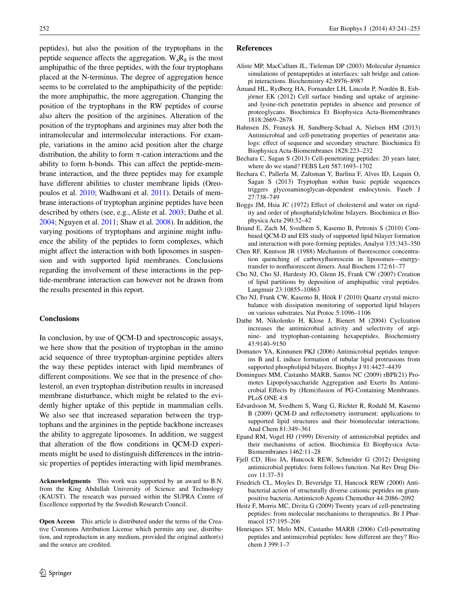peptides), but also the position of the tryptophans in the peptide sequence affects the aggregation.  $W_A R_g$  is the most amphipathic of the three peptides, with the four tryptophans placed at the N-terminus. The degree of aggregation hence seems to be correlated to the amphipathicity of the peptide: the more amphipathic, the more aggregation. Changing the position of the tryptophans in the RW peptides of course also alters the position of the arginines. Alteration of the position of the tryptophans and arginines may alter both the intramolecular and intermolecular interactions. For example, variations in the amino acid position alter the charge distribution, the ability to form  $\pi$ -cation interactions and the ability to form h-bonds. This can affect the peptide-membrane interaction, and the three peptides may for example have different abilities to cluster membrane lipids (Oreopoulos et al. [2010;](#page-12-33) Wadhwani et al. [2011](#page-12-34)). Details of membrane interactions of tryptophan arginine peptides have been described by others (see, e.g., Aliste et al. [2003](#page-11-17); Dathe et al. [2004;](#page-11-18) Nguyen et al. [2011;](#page-12-35) Shaw et al. [2008](#page-12-36)). In addition, the varying positions of tryptophans and arginine might influence the ability of the peptides to form complexes, which might affect the interaction with both liposomes in suspension and with supported lipid membranes. Conclusions regarding the involvement of these interactions in the peptide-membrane interaction can however not be drawn from the results presented in this report.

## **Conclusions**

In conclusion, by use of QCM-D and spectroscopic assays, we here show that the position of tryptophan in the amino acid sequence of three tryptophan-arginine peptides alters the way these peptides interact with lipid membranes of different compositions. We see that in the presence of cholesterol, an even tryptophan distribution results in increased membrane disturbance, which might be related to the evidently higher uptake of this peptide in mammalian cells. We also see that increased separation between the tryptophans and the arginines in the peptide backbone increases the ability to aggregate liposomes. In addition, we suggest that alteration of the flow conditions in QCM-D experiments might be used to distinguish differences in the intrinsic properties of peptides interacting with lipid membranes.

**Acknowledgments** This work was supported by an award to B.N. from the King Abdullah University of Science and Technology (KAUST). The research was pursued within the SUPRA Centre of Excellence supported by the Swedish Research Council.

**Open Access** This article is distributed under the terms of the Creative Commons Attribution License which permits any use, distribution, and reproduction in any medium, provided the original author(s) and the source are credited.

## **References**

- <span id="page-11-17"></span>Aliste MP, MacCallum JL, Tieleman DP (2003) Molecular dynamics simulations of pentapeptides at interfaces: salt bridge and cationpi interactions. Biochemistry 42:8976–8987
- <span id="page-11-12"></span>Åmand HL, Rydberg HA, Fornander LH, Lincoln P, Nordén B, Esbjörner EK (2012) Cell surface binding and uptake of arginineand lysine-rich penetratin peptides in absence and presence of proteoglycans. Biochimica Et Biophysica Acta-Biomembranes 1818:2669–2678
- <span id="page-11-6"></span>Bahnsen JS, Franzyk H, Sandberg-Schaal A, Nielsen HM (2013) Antimicrobial and cell-penetrating properties of penetratin analogs: effect of sequence and secondary structure. Biochimica Et Biophysica Acta-Biomembranes 1828:223–232
- <span id="page-11-0"></span>Bechara C, Sagan S (2013) Cell-penetrating peptides: 20 years later, where do we stand? FEBS Lett 587:1693–1702
- <span id="page-11-14"></span>Bechara C, Pallerla M, Zaltsman Y, Burlina F, Alves ID, Lequin O, Sagan S (2013) Tryptophan within basic peptide sequences triggers glycosaminoglycan-dependent endocytosis. Faseb J 27:738–749
- <span id="page-11-15"></span>Boggs JM, Hsia JC (1972) Effect of cholesterol and water on rigidity and order of phosphatidylcholine bilayers. Biochimica et Biophysica Acta 290:32–42
- <span id="page-11-9"></span>Briand E, Zach M, Svedhem S, Kasemo B, Petronis S (2010) Combined QCM-D and EIS study of supported lipid bilayer formation and interaction with pore-forming peptides. Analyst 135:343–350
- <span id="page-11-11"></span>Chen RF, Knutson JR (1988) Mechanism of fluorescence concentration quenching of carboxyfluorescein in liposomes—energytransfer to nonfluorescent dimers. Anal Biochem 172:61–77
- <span id="page-11-16"></span>Cho NJ, Cho SJ, Hardesty JO, Glenn JS, Frank CW (2007) Creation of lipid partitions by deposition of amphipathic viral peptides. Langmuir 23:10855–10863
- <span id="page-11-7"></span>Cho NJ, Frank CW, Kasemo B, Höök F (2010) Quartz crystal microbalance with dissipation monitoring of supported lipid bilayers on various substrates. Nat Protoc 5:1096–1106
- <span id="page-11-18"></span>Dathe M, Nikolenko H, Klose J, Bienert M (2004) Cyclization increases the antimicrobial activity and selectivity of arginine- and tryptophan-containing hexapeptides. Biochemistry 43:9140–9150
- <span id="page-11-8"></span>Domanov YA, Kinnunen PKJ (2006) Antimicrobial peptides temporins B and L induce formation of tubular lipid protrusions from supported phospholipid bilayers. Biophys J 91:4427–4439
- <span id="page-11-13"></span>Domingues MM, Castanho MARB, Santos NC (2009) rBPI(21) Promotes Lipopolysaccharide Aggregation and Exerts Its Antimicrobial Effects by (Hemi)fusion of PG-Containing Membranes. PLoS ONE 4:8
- <span id="page-11-10"></span>Edvardsson M, Svedhem S, Wang G, Richter R, Rodahl M, Kasemo B (2009) QCM-D and reflectometry instrument: applications to supported lipid structures and their biomolecular interactions. Anal Chem 81:349–361
- <span id="page-11-3"></span>Epand RM, Vogel HJ (1999) Diversity of antimicrobial peptides and their mechanisms of action. Biochimica Et Biophysica Acta-Biomembranes 1462:11–28
- <span id="page-11-1"></span>Fjell CD, Hiss JA, Hancock REW, Schneider G (2012) Designing antimicrobial peptides: form follows function. Nat Rev Drug Discov 11:37–51
- <span id="page-11-4"></span>Friedrich CL, Moyles D, Beveridge TJ, Hancock REW (2000) Antibacterial action of structurally diverse cationic peptides on grampositive bacteria. Antimicrob Agents Chemother 44:2086–2092
- <span id="page-11-5"></span>Heitz F, Morris MC, Divita G (2009) Twenty years of cell-penetrating peptides: from molecular mechanisms to therapeutics. Br J Pharmacol 157:195–206
- <span id="page-11-2"></span>Henriques ST, Melo MN, Castanho MARB (2006) Cell-penetrating peptides and antimicrobial peptides: how different are they? Biochem J 399:1–7